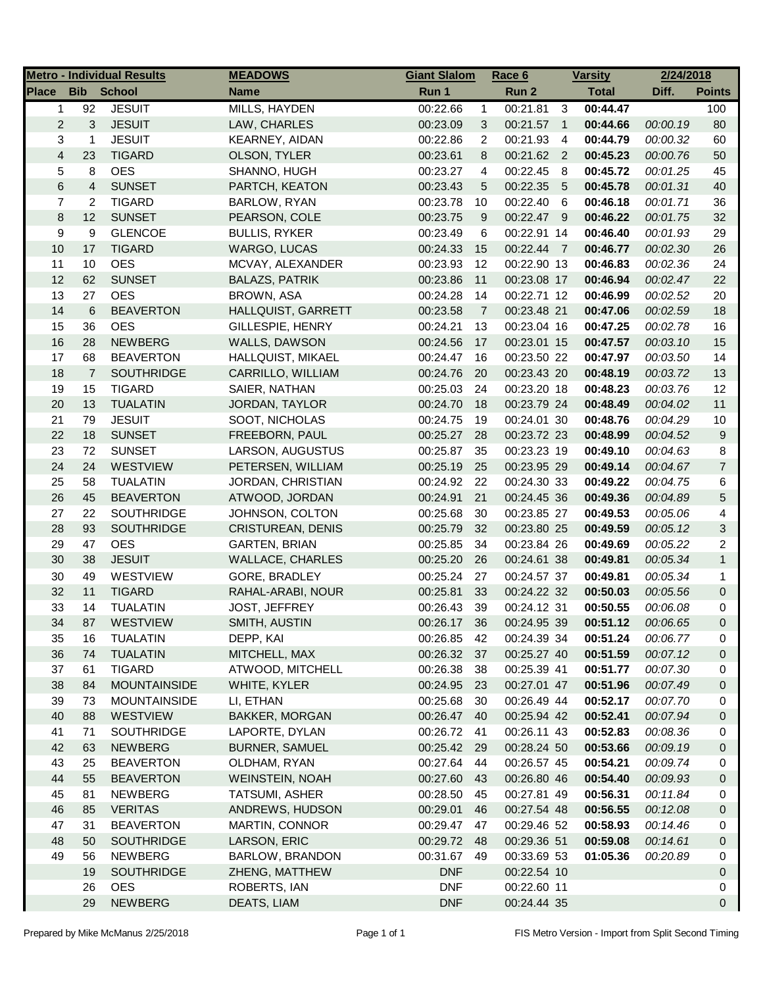|                |                | <b>Metro - Individual Results</b> | <b>MEADOWS</b>           | <b>Giant Slalom</b> |                | <u>Race 6</u> |                | <b>Varsity</b> | 2/24/2018 |                |
|----------------|----------------|-----------------------------------|--------------------------|---------------------|----------------|---------------|----------------|----------------|-----------|----------------|
| Place          | <b>Bib</b>     | School                            | <b>Name</b>              | Run 1               |                | Run 2         |                | <b>Total</b>   | Diff.     | <b>Points</b>  |
| 1              | 92             | <b>JESUIT</b>                     | MILLS, HAYDEN            | 00:22.66            | $\mathbf{1}$   | 00:21.81      | 3              | 00:44.47       |           | 100            |
| $\overline{c}$ | 3              | <b>JESUIT</b>                     | LAW, CHARLES             | 00:23.09            | 3              | 00:21.57 1    |                | 00:44.66       | 00:00.19  | 80             |
| 3              | 1              | <b>JESUIT</b>                     | KEARNEY, AIDAN           | 00:22.86            | 2              | 00:21.93      | $\overline{4}$ | 00:44.79       | 00:00.32  | 60             |
| $\overline{4}$ | 23             | <b>TIGARD</b>                     | OLSON, TYLER             | 00:23.61            | 8              | 00:21.62 2    |                | 00:45.23       | 00:00.76  | 50             |
| 5              | 8              | <b>OES</b>                        | SHANNO, HUGH             | 00:23.27            | 4              | 00:22.45      | - 8            | 00:45.72       | 00:01.25  | 45             |
| 6              | 4              | <b>SUNSET</b>                     | PARTCH, KEATON           | 00:23.43            | 5              | 00:22.35      | - 5            | 00:45.78       | 00:01.31  | 40             |
| 7              | $\overline{c}$ | <b>TIGARD</b>                     | BARLOW, RYAN             | 00:23.78            | 10             | 00:22.40      | - 6            | 00:46.18       | 00:01.71  | 36             |
| 8              | 12             | <b>SUNSET</b>                     | PEARSON, COLE            | 00:23.75            | 9              | 00:22.47 9    |                | 00:46.22       | 00:01.75  | 32             |
| 9              | 9              | <b>GLENCOE</b>                    | <b>BULLIS, RYKER</b>     | 00:23.49            | 6              | 00:22.91 14   |                | 00:46.40       | 00:01.93  | 29             |
| 10             | 17             | <b>TIGARD</b>                     | WARGO, LUCAS             | 00:24.33            | 15             | 00:22.44 7    |                | 00:46.77       | 00:02.30  | 26             |
| 11             | 10             | <b>OES</b>                        | MCVAY, ALEXANDER         | 00:23.93            | 12             | 00:22.90 13   |                | 00:46.83       | 00:02.36  | 24             |
| 12             | 62             | <b>SUNSET</b>                     | <b>BALAZS, PATRIK</b>    | 00:23.86            | 11             | 00:23.08 17   |                | 00:46.94       | 00:02.47  | 22             |
| 13             | 27             | <b>OES</b>                        | BROWN, ASA               | 00:24.28            | 14             | 00:22.71 12   |                | 00:46.99       | 00:02.52  | 20             |
| 14             | 6              | <b>BEAVERTON</b>                  | HALLQUIST, GARRETT       | 00:23.58            | $\overline{7}$ | 00:23.48 21   |                | 00:47.06       | 00:02.59  | 18             |
| 15             | 36             | <b>OES</b>                        | GILLESPIE, HENRY         | 00:24.21            | 13             | 00:23.04 16   |                | 00:47.25       | 00:02.78  | 16             |
| 16             | 28             | <b>NEWBERG</b>                    | WALLS, DAWSON            | 00:24.56            | 17             | 00:23.01 15   |                | 00:47.57       | 00:03.10  | 15             |
| 17             | 68             | <b>BEAVERTON</b>                  | HALLQUIST, MIKAEL        | 00:24.47            | 16             | 00:23.50 22   |                | 00:47.97       | 00:03.50  | 14             |
| 18             | $\overline{7}$ | <b>SOUTHRIDGE</b>                 | CARRILLO, WILLIAM        | 00:24.76            | 20             | 00:23.43 20   |                | 00:48.19       | 00:03.72  | 13             |
| 19             | 15             | <b>TIGARD</b>                     | SAIER, NATHAN            | 00:25.03            | 24             | 00:23.20 18   |                | 00:48.23       | 00:03.76  | 12             |
| 20             | 13             | <b>TUALATIN</b>                   | JORDAN, TAYLOR           | 00:24.70            | 18             | 00:23.79 24   |                | 00:48.49       | 00:04.02  | 11             |
| 21             | 79             | <b>JESUIT</b>                     | SOOT, NICHOLAS           | 00:24.75            | 19             | 00:24.01 30   |                | 00:48.76       | 00:04.29  | $10$           |
| 22             | 18             | <b>SUNSET</b>                     | FREEBORN, PAUL           | 00:25.27            | 28             | 00:23.72 23   |                | 00:48.99       | 00:04.52  | 9              |
| 23             | 72             | <b>SUNSET</b>                     | LARSON, AUGUSTUS         | 00:25.87            | 35             | 00:23.23 19   |                | 00:49.10       | 00:04.63  | 8              |
| 24             | 24             | WESTVIEW                          | PETERSEN, WILLIAM        | 00:25.19            | 25             | 00:23.95 29   |                | 00:49.14       | 00:04.67  | $\overline{7}$ |
| 25             | 58             | <b>TUALATIN</b>                   | JORDAN, CHRISTIAN        | 00:24.92            | 22             | 00:24.30 33   |                | 00:49.22       | 00:04.75  | 6              |
| 26             | 45             | <b>BEAVERTON</b>                  | ATWOOD, JORDAN           | 00:24.91            | 21             | 00:24.45 36   |                | 00:49.36       | 00:04.89  | 5              |
| 27             | 22             | <b>SOUTHRIDGE</b>                 | JOHNSON, COLTON          | 00:25.68            | 30             | 00:23.85 27   |                | 00:49.53       | 00:05.06  | 4              |
| 28             | 93             | <b>SOUTHRIDGE</b>                 | <b>CRISTUREAN, DENIS</b> | 00:25.79            | 32             | 00:23.80 25   |                | 00:49.59       | 00:05.12  | 3              |
| 29             | 47             | <b>OES</b>                        | <b>GARTEN, BRIAN</b>     | 00:25.85            | 34             | 00:23.84 26   |                | 00:49.69       | 00:05.22  | 2              |
| 30             | 38             | <b>JESUIT</b>                     | <b>WALLACE, CHARLES</b>  | 00:25.20            | 26             | 00:24.61 38   |                | 00:49.81       | 00:05.34  | $\mathbf{1}$   |
| 30             | 49             | <b>WESTVIEW</b>                   | GORE, BRADLEY            | 00:25.24            | 27             | 00:24.57 37   |                | 00:49.81       | 00:05.34  | $\mathbf{1}$   |
| 32             | 11             | <b>TIGARD</b>                     | RAHAL-ARABI, NOUR        | 00:25.81            | 33             | 00:24.22 32   |                | 00:50.03       | 00:05.56  | 0              |
| 33             | 14             | <b>TUALATIN</b>                   | JOST, JEFFREY            | 00:26.43            | 39             | 00:24.12 31   |                | 00:50.55       | 00:06.08  | 0              |
| 34             | 87             | WESTVIEW                          | SMITH, AUSTIN            | 00:26.17            | 36             | 00:24.95 39   |                | 00:51.12       | 00:06.65  | $\Omega$       |
| 35             | 16             | <b>TUALATIN</b>                   | DEPP, KAI                | 00:26.85            | 42             | 00:24.39 34   |                | 00:51.24       | 00:06.77  | 0              |
| 36             | 74             | <b>TUALATIN</b>                   | MITCHELL, MAX            | 00:26.32            | 37             | 00:25.27 40   |                | 00:51.59       | 00:07.12  | 0              |
| 37             | 61             | <b>TIGARD</b>                     | ATWOOD, MITCHELL         | 00:26.38            | 38             | 00:25.39 41   |                | 00:51.77       | 00:07.30  | 0              |
| 38             | 84             | <b>MOUNTAINSIDE</b>               | WHITE, KYLER             | 00:24.95 23         |                | 00:27.01 47   |                | 00:51.96       | 00:07.49  | 0              |
| 39             | 73             | <b>MOUNTAINSIDE</b>               | LI, ETHAN                | 00:25.68            | 30             | 00:26.49 44   |                | 00:52.17       | 00:07.70  | 0              |
| 40             | 88             | <b>WESTVIEW</b>                   | <b>BAKKER, MORGAN</b>    | 00:26.47            | 40             | 00:25.94 42   |                | 00:52.41       | 00:07.94  | 0              |
| 41             | 71             | <b>SOUTHRIDGE</b>                 | LAPORTE, DYLAN           | 00:26.72            | 41             | 00:26.11 43   |                | 00:52.83       | 00:08.36  | 0              |
| 42             | 63             | <b>NEWBERG</b>                    | <b>BURNER, SAMUEL</b>    | 00:25.42            | - 29           | 00:28.24 50   |                | 00:53.66       | 00:09.19  | 0              |
| 43             | 25             | <b>BEAVERTON</b>                  | OLDHAM, RYAN             | 00:27.64            | 44             | 00:26.57 45   |                | 00:54.21       | 00:09.74  | 0              |
| 44             | 55             | <b>BEAVERTON</b>                  | <b>WEINSTEIN, NOAH</b>   | 00:27.60            | 43             | 00:26.80 46   |                | 00:54.40       | 00:09.93  | 0              |
| 45             | 81             | <b>NEWBERG</b>                    | <b>TATSUMI, ASHER</b>    | 00:28.50            | 45             | 00:27.81 49   |                | 00:56.31       | 00:11.84  | 0              |
| 46             | 85             | <b>VERITAS</b>                    | ANDREWS, HUDSON          | 00:29.01            | 46             | 00:27.54 48   |                | 00:56.55       | 00:12.08  | 0              |
| 47             | 31             | <b>BEAVERTON</b>                  | MARTIN, CONNOR           | 00:29.47            | 47             | 00:29.46 52   |                | 00:58.93       | 00:14.46  | 0              |
| 48             | 50             | <b>SOUTHRIDGE</b>                 | LARSON, ERIC             | 00:29.72            | 48             | 00:29.36 51   |                | 00:59.08       | 00:14.61  | 0              |
| 49             | 56             | <b>NEWBERG</b>                    | BARLOW, BRANDON          | 00:31.67            | 49             | 00:33.69 53   |                | 01:05.36       | 00:20.89  | 0              |
|                | 19             | <b>SOUTHRIDGE</b>                 | ZHENG, MATTHEW           | <b>DNF</b>          |                | 00:22.54 10   |                |                |           | 0              |
|                | 26             | <b>OES</b>                        | <b>ROBERTS, IAN</b>      | <b>DNF</b>          |                | 00:22.60 11   |                |                |           | 0              |
|                | 29             | <b>NEWBERG</b>                    | DEATS, LIAM              | <b>DNF</b>          |                | 00:24.44 35   |                |                |           | 0              |